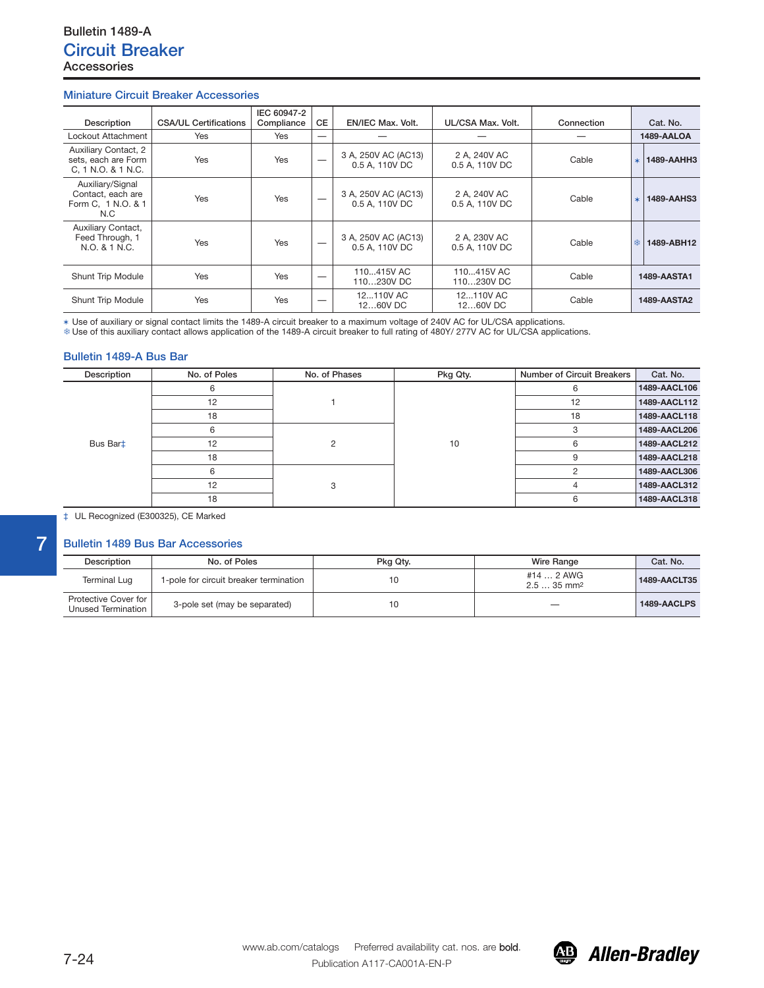## **Miniature Circuit Breaker Accessories**

| Description                                                        | <b>CSA/UL Certifications</b> | IEC 60947-2<br>Compliance | <b>CE</b>                | <b>EN/IEC Max. Volt.</b>              | UL/CSA Max. Volt.              | Connection |         | Cat. No.           |
|--------------------------------------------------------------------|------------------------------|---------------------------|--------------------------|---------------------------------------|--------------------------------|------------|---------|--------------------|
| Lockout Attachment                                                 | Yes                          | Yes                       | $\overline{\phantom{m}}$ |                                       |                                |            |         | 1489-AALOA         |
| Auxiliary Contact, 2<br>sets, each are Form<br>C, 1 N.O. & 1 N.C.  | Yes                          | Yes                       |                          | 3 A, 250V AC (AC13)<br>0.5 A, 110V DC | 2 A, 240V AC<br>0.5 A, 110V DC | Cable      | $\star$ | 1489-AAHH3         |
| Auxiliary/Signal<br>Contact, each are<br>Form C, 1 N.O. & 1<br>N.C | <b>Yes</b>                   | <b>Yes</b>                |                          | 3 A, 250V AC (AC13)<br>0.5 A, 110V DC | 2 A, 240V AC<br>0.5 A. 110V DC | Cable      | $\star$ | <b>1489-AAHS3</b>  |
| Auxiliary Contact,<br>Feed Through, 1<br>N.O. & 1 N.C.             | Yes                          | Yes                       |                          | 3 A, 250V AC (AC13)<br>0.5 A, 110V DC | 2 A. 230V AC<br>0.5 A, 110V DC | Cable      | 樂       | 1489-ABH12         |
| Shunt Trip Module                                                  | Yes                          | Yes                       |                          | 110415V AC<br>110230V DC              | 110415V AC<br>110230V DC       | Cable      |         | <b>1489-AASTA1</b> |
| Shunt Trip Module                                                  | Yes                          | Yes                       | –                        | 12110V AC<br>1260V DC                 | 12110V AC<br>1260V DC          | Cable      |         | <b>1489-AASTA2</b> |

\* Use of auxiliary or signal contact limits the 1489-A circuit breaker to a maximum voltage of 240V AC for UL/CSA applications.<br>\* Use of this auxiliary contact allows application of the 1489-A circuit breaker to full rati

## **Bulletin 1489-A Bus Bar**

| Description | No. of Poles | No. of Phases | Pkg Qty. | <b>Number of Circuit Breakers</b> | Cat. No.     |
|-------------|--------------|---------------|----------|-----------------------------------|--------------|
| Bus Bart    |              |               |          | 6                                 | 1489-AACL106 |
|             | 12           |               |          | 12                                | 1489-AACL112 |
|             | 18           |               |          | 18                                | 1489-AACL118 |
|             | 6            |               | 10       | 3                                 | 1489-AACL206 |
|             | 12           |               |          | 6                                 | 1489-AACL212 |
|             | 18           |               |          | 9                                 | 1489-AACL218 |
|             | 6            |               |          |                                   | 1489-AACL306 |
|             | 12           |               |          | 4                                 | 1489-AACL312 |
|             | 18           |               |          | 6                                 | 1489-AACL318 |

‡ UL Recognized (E300325), CE Marked

## **Bulletin 1489 Bus Bar Accessories**

**7**

| Description                                | No. of Poles                           | Pkg Qty. | Wire Range                            | Cat. No.     |
|--------------------------------------------|----------------------------------------|----------|---------------------------------------|--------------|
| <b>Terminal Lug</b>                        | 1-pole for circuit breaker termination |          | #14  2 AWG<br>$2.535$ mm <sup>2</sup> | 1489-AACLT35 |
| Protective Cover for<br>Unused Termination | 3-pole set (may be separated)          |          |                                       | 1489-AACLPS  |